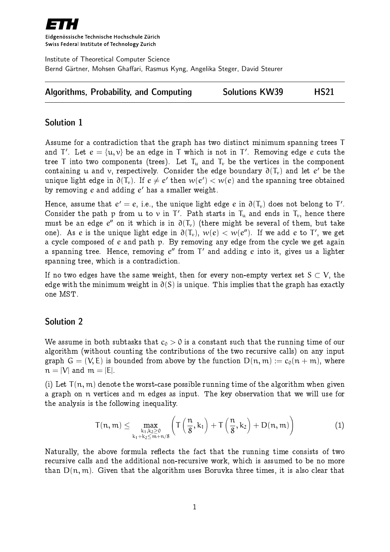

Eidgenössische Technische Hochschule Zürich Swiss Federal Institute of Technology Zurich

Institute of Theoretical Computer Science Bernd Gärtner, Mohsen Ghaffari, Rasmus Kyng, Angelika Steger, David Steurer

| Algorithms, Probability, and Computing | <b>Solutions KW39</b> | <b>HS21</b> |
|----------------------------------------|-----------------------|-------------|
|----------------------------------------|-----------------------|-------------|

## Solution 1

Assume for a contradiction that the graph has two distinct minimum spanning trees T and T'. Let  $e = \{u, v\}$  be an edge in T which is not in T'. Removing edge  $e$  cuts the tree T into two components (trees). Let  $T_u$  and  $T_v$  be the vertices in the component containing  $\bm{\mathfrak{u}}$  and  $\bm{\mathsf{v}},$  respectively. Consider the edge boundary  $\bm{\mathfrak{d}}(\bm{\mathsf{T}_{v}})$  and let  $\bm{e}'$  be the unique light edge in  $\partial(\mathsf{T}_\mathsf{v})$ . If  $e\neq e'$  then  $w(e')< w(e)$  and the spanning tree obtained by removing  $e$  and adding  $e^\prime$  has a smaller weight.

Hence, assume that  $e'=e,$  i.e., the unique light edge  $e$  in  $\mathfrak{d}(\mathsf{T}_\mathsf{v})$  does not belong to  $\mathsf{T}'.$ Consider the path p from u to v in  $T'$ . Path starts in  $T_u$  and ends in  $T_v$ , hence there must be an edge  $e^{\prime\prime}$  on it which is in  $\partial(\mathsf{T}_{\nu})$  (there might be several of them, but take one). As  $e$  is the unique light edge in  $\partial(\mathsf{T}_\mathsf{v}),\ w(e) < w(e'')$ . If we add  $e$  to  $\mathsf{T}',$  we get a cycle composed of e and path p. By removing any edge from the cycle we get again a spanning tree. Hence, removing  $e^{\prime\prime}$  from  $\mathsf{T}^{\prime}$  and adding  $e$  into it, gives us a lighter spanning tree, which is a contradiction.

If no two edges have the same weight, then for every non-empty vertex set  $S \subset V$ , the edge with the minimum weight in  $\partial(S)$  is unique. This implies that the graph has exactly one MST.

## Solution 2

We assume in both subtasks that  $c_0 > 0$  is a constant such that the running time of our algorithm (without counting the contributions of the two recursive calls) on any input graph  $G = (V, E)$  is bounded from above by the function  $D(n, m) := c_0(n + m)$ , where  $n = |V|$  and  $m = |E|$ .

(i) Let  $T(n, m)$  denote the worst-case possible running time of the algorithm when given a graph on n vertices and m edges as input. The key observation that we will use for the analysis is the following inequality.

<span id="page-0-0"></span>
$$
T(n,m) \leq \max_{\substack{k_1,k_2 \geq 0 \\ k_1+k_2 \leq m+n/8}} \left( T\left( \frac{n}{8}, k_1 \right) + T\left( \frac{n}{8}, k_2 \right) + D(n,m) \right) \tag{1}
$$

Naturally, the above formula reflects the fact that the running time consists of two recursive calls and the additional non-recursive work, which is assumed to be no more than  $D(n, m)$ . Given that the algorithm uses Boruvka three times, it is also clear that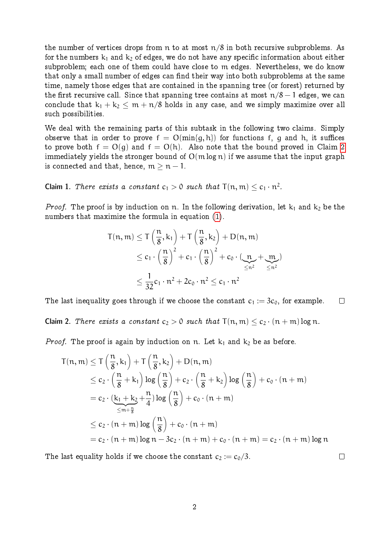the number of vertices drops from n to at most  $n/8$  in both recursive subproblems. As for the numbers  $k_1$  and  $k_2$  of edges, we do not have any specific information about either subproblem; each one of them could have close to m edges. Nevertheless, we do know that only a small number of edges can find their way into both subproblems at the same time, namely those edges that are contained in the spanning tree (or forest) returned by the first recursive call. Since that spanning tree contains at most  $n/8 - 1$  edges, we can conclude that  $k_1 + k_2 < m + n/8$  holds in any case, and we simply maximize over all such possibilities.

We deal with the remaining parts of this subtask in the following two claims. Simply observe that in order to prove  $f = O(min{g, h})$  for functions f, g and h, it suffices to prove both  $f = O(q)$  and  $f = O(h)$ . Also note that the bound proved in Claim [2](#page-1-0) immediately yields the stronger bound of  $O(m \log n)$  if we assume that the input graph is connected and that, hence,  $m \geq n - 1$ .

<span id="page-1-1"></span>Claim 1. There exists a constant  $c_1 > 0$  such that  $\mathsf{T}(\mathfrak{n},\mathfrak{m}) \leq c_1 \cdot \mathfrak{n}^2.$ 

*Proof.* The proof is by induction on n. In the following derivation, let  $k_1$  and  $k_2$  be the numbers that maximize the formula in equation [\(1\)](#page-0-0).

$$
T(n, m) \leq T\left(\frac{n}{8}, k_1\right) + T\left(\frac{n}{8}, k_2\right) + D(n, m)
$$
  
\n
$$
\leq c_1 \cdot \left(\frac{n}{8}\right)^2 + c_1 \cdot \left(\frac{n}{8}\right)^2 + c_0 \cdot \left(\underbrace{n}_{\leq n^2} + \underbrace{m}_{\leq n^2}\right)
$$
  
\n
$$
\leq \frac{1}{32}c_1 \cdot n^2 + 2c_0 \cdot n^2 \leq c_1 \cdot n^2
$$

<span id="page-1-0"></span>The last inequality goes through if we choose the constant  $c_1 := 3c_0$ , for example.  $\Box$ Claim 2. There exists a constant  $c_2 > 0$  such that  $T(n, m) < c_2 \cdot (n + m) \log n$ .

*Proof.* The proof is again by induction on n. Let  $k_1$  and  $k_2$  be as before.

$$
T(n, m) \leq T\left(\frac{n}{8}, k_1\right) + T\left(\frac{n}{8}, k_2\right) + D(n, m)
$$
  
\n
$$
\leq c_2 \cdot \left(\frac{n}{8} + k_1\right) \log\left(\frac{n}{8}\right) + c_2 \cdot \left(\frac{n}{8} + k_2\right) \log\left(\frac{n}{8}\right) + c_0 \cdot (n + m)
$$
  
\n
$$
= c_2 \cdot \left(\underbrace{k_1 + k_2}_{m + \frac{n}{8}} + \frac{n}{4}\right) \log\left(\frac{n}{8}\right) + c_0 \cdot (n + m)
$$
  
\n
$$
\leq c_2 \cdot (n + m) \log\left(\frac{n}{8}\right) + c_0 \cdot (n + m)
$$
  
\n
$$
= c_2 \cdot (n + m) \log n - 3c_2 \cdot (n + m) + c_0 \cdot (n + m) = c_2 \cdot (n + m) \log n
$$

The last equality holds if we choose the constant  $c_2 := c_0/3$ .

 $\Box$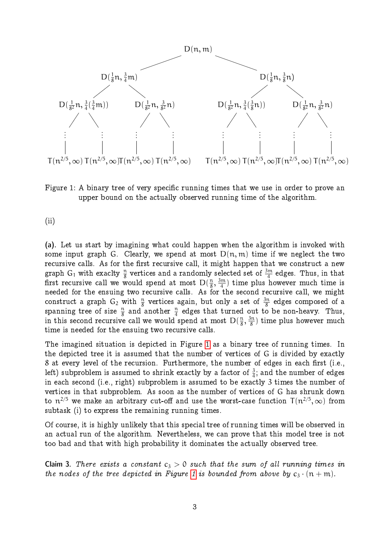

<span id="page-2-0"></span>Figure 1: A binary tree of very specific running times that we use in order to prove an upper bound on the actually observed running time of the algorithm.

(ii)

(a). Let us start by imagining what could happen when the algorithm is invoked with some input graph G. Clearly, we spend at most  $D(n, m)$  time if we neglect the two recursive calls. As for the first recursive call, it might happen that we construct a new graph G<sub>1</sub> with exaclty  $\frac{n}{8}$  vertices and a randomly selected set of  $\frac{3\mathfrak{m}}{4}$  edges. Thus, in that first recursive call we would spend at most  $D(\frac{\pi}{8})$  $\frac{\pi}{8}, \frac{3\pi}{4}$  $\binom{m}{4}$  time plus however much time is needed for the ensuing two recursive calls. As for the second recursive call, we might construct a graph  $\mathsf{G}_2$  with  $\frac{\mathfrak{n}}{8}$  vertices again, but only a set of  $\frac{3\mathfrak{n}}{8}$  edges composed of a spanning tree of size  $\frac{n}{8}$  and another  $\frac{n}{4}$  edges that turned out to be non-heavy. Thus, in this second recursive call we would spend at most  $D(\frac{\pi}{8})$  $\frac{\pi}{8}, \frac{3\pi}{8}$  $\frac{3n}{8}$ ) time plus however much time is needed for the ensuing two recursive calls.

The imagined situation is depicted in Figure [1](#page-2-0) as a binary tree of running times. In the depicted tree it is assumed that the number of vertices of G is divided by exactly 8 at every level of the recursion. Furthermore, the number of edges in each first (i.e., left) subproblem is assumed to shrink exactly by a factor of  $\frac{3}{4};$  and the number of edges in each second (i.e., right) subproblem is assumed to be exactly 3 times the number of vertices in that subproblem. As soon as the number of vertices of G has shrunk down to  $n^{2/5}$  we make an arbitrary cut-off and use the worst-case function  $T(n^{2/5}, \infty)$  from subtask (i) to express the remaining running times.

Of course, it is highly unlikely that this special tree of running times will be observed in an actual run of the algorithm. Nevertheless, we can prove that this model tree is not too bad and that with high probability it dominates the actually observed tree.

<span id="page-2-1"></span>Claim 3. There exists a constant  $c_3 > 0$  such that the sum of all running times in the nodes of the tree depicted in Figure [1](#page-2-0) is bounded from above by  $c_3 \cdot (n+m)$ .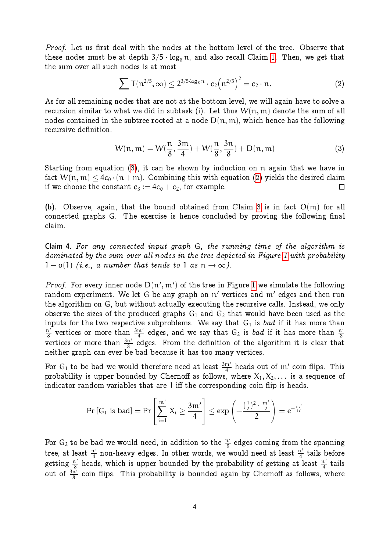Proof. Let us first deal with the nodes at the bottom level of the tree. Observe that these nodes must be at depth  $3/5 \cdot \log_8 n$ , and also recall Claim [1.](#page-1-1) Then, we get that the sum over all such nodes is at most

<span id="page-3-1"></span>
$$
\sum T(n^{2/5},\infty) \leq 2^{3/5 \cdot \log_8 n} \cdot c_2(n^{2/5})^2 = c_2 \cdot n. \tag{2}
$$

As for all remaining nodes that are not at the bottom level, we will again have to solve a recursion similar to what we did in subtask (i). Let thus  $W(n, m)$  denote the sum of all nodes contained in the subtree rooted at a node  $D(n, m)$ , which hence has the following recursive definition.

<span id="page-3-0"></span>
$$
W(n, m) = W(\frac{n}{8}, \frac{3m}{4}) + W(\frac{n}{8}, \frac{3n}{8}) + D(n, m)
$$
 (3)

Starting from equation [\(3\)](#page-3-0), it can be shown by induction on n again that we have in fact  $W(n, m) \leq 4c_0 \cdot (n + m)$ . Combining this with equation [\(2\)](#page-3-1) yields the desired claim if we choose the constant  $c_3 := 4c_0 + c_2$ , for example.  $\Box$ 

(b). Observe, again, that the bound obtained from Claim [3](#page-2-1) is in fact  $O(m)$  for all connected graphs G. The exercise is hence concluded by proving the following final claim.

Claim 4. For any connected input graph G, the running time of the algorithm is dominated by the sum over all nodes in the tree depicted in Figure [1](#page-2-0) with probability  $1-o(1)$  (i.e., a number that tends to 1 as  $n \to \infty$ ).

*Proof.* For every inner node  $D(n', m')$  of the tree in Figure [1](#page-2-0) we simulate the following random experiment. We let G be any graph on  $\mathfrak n'$  vertices and  $\mathfrak m'$  edges and then run the algorithm on G, but without actually executing the recursive calls. Instead, we only observe the sizes of the produced graphs  $G_1$  and  $G_2$  that would have been used as the inputs for the two respective subproblems. We say that  $G_1$  is bad if it has more than  $\frac{n^{\prime}}{8}$  vertices or more than  $\frac{3m^{\prime}}{4}$  edges, and we say that  $G_2$  is *bad* if it has more than  $\frac{n^{\prime}}{8}$ vertices or more than  $\frac{3n'}{8}$  edges. From the definition of the algorithm it is clear that neither graph can ever be bad because it has too many vertices.

For  $\mathsf{G}_1$  to be bad we would therefore need at least  $\frac{3\mathfrak{m}'}{4}$  heads out of  $\mathfrak{m}'$  coin flips. This probability is upper bounded by Chernoff as follows, where  $\mathsf{X}_1,\mathsf{X}_2,\dots$  is a sequence of indicator random variables that are 1 iff the corresponding coin flip is heads.

$$
\Pr\left[G_1 \text{ is bad}\right] = \Pr\left[\sum_{i=1}^{m'} X_i \geq \frac{3m'}{4}\right] \leq \exp\left(-\frac{(\frac{1}{2})^2 \cdot \frac{m'}{2}}{2}\right) = e^{-\frac{m'}{16}}
$$

For  $\mathsf{G}_2$  to be bad we would need, in addition to the  $\frac{\mathfrak{n}'}{8}$  edges coming from the spanning tree, at least  $\frac{n'}{4}$  non-heavy edges. In other words, we would need at least  $\frac{n'}{4}$  tails before getting  $\frac{n'}{8}$  heads, which is upper bounded by the probability of getting at least  $\frac{n'}{4}$  tails out of  $\frac{3n^2}{8}$  coin flips. This probability is bounded again by Chernoff as follows, where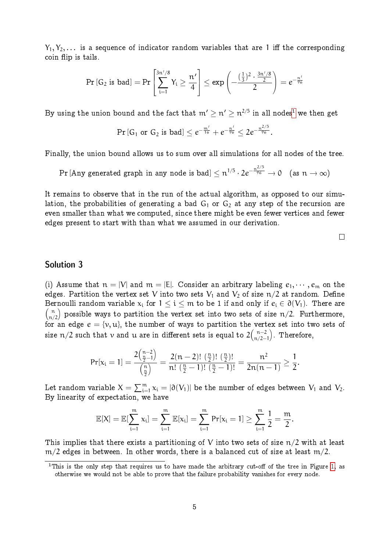$Y_1, Y_2, \ldots$  is a sequence of indicator random variables that are 1 iff the corresponding coin flip is tails.

$$
\Pr\left[G_2 \text{ is bad}\right] = \Pr\left[\sum_{i=1}^{3n'/8} Y_i \geq \frac{n'}{4}\right] \leq \exp\left(-\frac{(\frac{1}{3})^2 \cdot \frac{3n'/8}{2}}{2}\right) = e^{-\frac{n'}{96}}
$$

By using the union bound and the fact that  $\mathfrak{m}' \geq \mathfrak{n}' \geq \mathfrak{n}^{2/5}$  in all nodes $^1$  $^1$  we then get

$$
\Pr\left[G_1 \text{ or } G_2 \text{ is bad}\right] \leq e^{-\frac{m'}{16}} + e^{-\frac{n'}{96}} \leq 2e^{-\frac{n^{2/5}}{96}}.
$$

Finally, the union bound allows us to sum over all simulations for all nodes of the tree.

 $\Pr[\text{Any generated graph in any node is bad}] \leq n^{1/5} \cdot 2e^{-\frac{n^{2/5}}{96}} \to 0 \quad \text{(as } n \to \infty\text{)}$ 

It remains to observe that in the run of the actual algorithm, as opposed to our simulation, the probabilities of generating a bad  $G_1$  or  $G_2$  at any step of the recursion are even smaller than what we computed, since there might be even fewer vertices and fewer edges present to start with than what we assumed in our derivation.

 $\Box$ 

## Solution 3

(i) Assume that  $n = |V|$  and  $m = |E|$ . Consider an arbitrary labeling  $e_1, \dots, e_m$  on the edges. Partition the vertex set V into two sets  $V_1$  and  $V_2$  of size  $n/2$  at random. Define Bernoulli random variable  $x_i$  for  $1 \leq i \leq m$  to be 1 if and only if  $e_i \in \partial(V_1)$ . There are  $\binom{n}{n/2}$  possible ways to partition the vertex set into two sets of size n/2. Furthermore, for an edge  $e = \{v, u\}$ , the number of ways to partition the vertex set into two sets of size  $\mathfrak{n}/2$  such that  $\mathfrak{v}$  and  $\mathfrak{u}$  are in different sets is equal to  $2\binom{\mathfrak{n}-2}{\mathfrak{n}/2}$  $\binom{n-2}{n/2-1}$ . Therefore,

$$
\Pr[x_i = 1] = \frac{2\binom{n-2}{\frac{n}{2}-1}}{\binom{n}{\frac{n}{2}}} = \frac{2(n-2)!}{n!} \cdot \frac{\binom{n}{\frac{n}{2}}!}{\binom{n}{\frac{n}{2}-1}!} = \frac{n^2}{2n(n-1)} \ge \frac{1}{2}.
$$

Let random variable  $X=\sum_{i=1}^m x_i=|\partial(V_1)|$  be the number of edges between  $V_1$  and  $V_2.$ By linearity of expectation, we have

$$
\mathbb{E}[X] = \mathbb{E}[\sum_{i=1}^m x_i] = \sum_{i=1}^m \mathbb{E}[x_i] = \sum_{i=1}^m \text{Pr}[x_i = 1] \geq \sum_{i=1}^m \frac{1}{2} = \frac{m}{2}.
$$

This implies that there exists a partitioning of V into two sets of size  $n/2$  with at least  $m/2$  edges in between. In other words, there is a balanced cut of size at least  $m/2$ .

<span id="page-4-0"></span><sup>&</sup>lt;sup>1</sup>This is the only step that requires us to have made the arbitrary cut-off of the tree in Figure [1,](#page-2-0) as otherwise we would not be able to prove that the failure probability vanishes for every node.